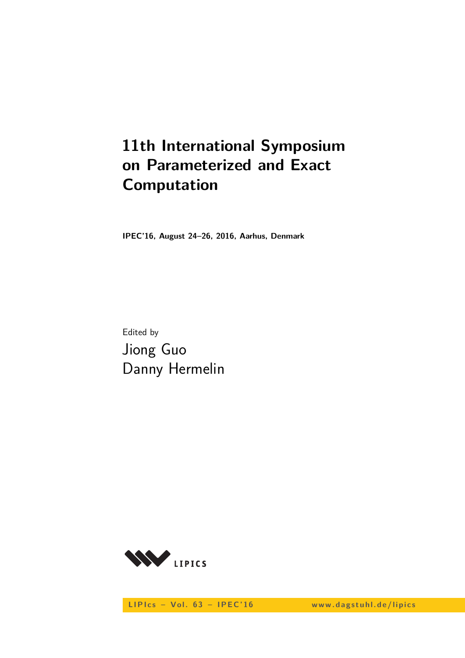# **11th International Symposium on Parameterized and Exact Computation**

**IPEC'16, August 24–26, 2016, Aarhus, Denmark**

Edited by Jiong Guo Danny Hermelin



LIPIcs - Vol. 63 - IPEC'16 www.dagstuhl.de/lipics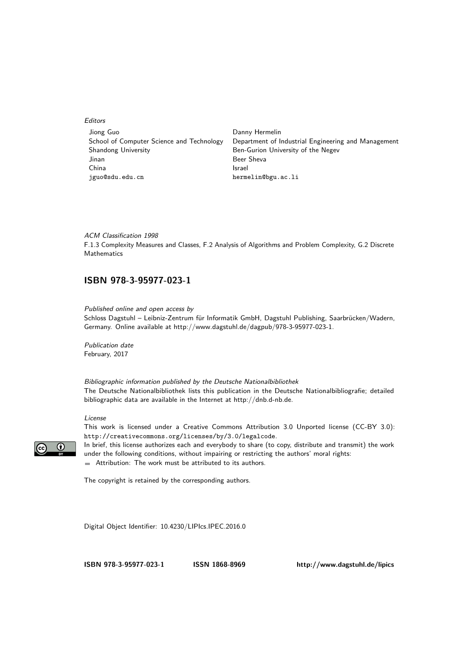Editors

| Jiong Guo                                 | Danny Hermelin                                      |
|-------------------------------------------|-----------------------------------------------------|
| School of Computer Science and Technology | Department of Industrial Engineering and Management |
| Shandong University                       | Ben-Gurion University of the Negev                  |
| Jinan                                     | Beer Sheva                                          |
| China                                     | Israel                                              |
| jguo@sdu.edu.cn                           | hermelin@bgu.ac.li                                  |

ACM Classification 1998 F.1.3 Complexity Measures and Classes, F.2 Analysis of Algorithms and Problem Complexity, G.2 Discrete Mathematics

### **[ISBN 978-3-95977-023-1](http://www.dagstuhl.de/dagpub/978-3-95977-023-1)**

Published online and open access by Schloss Dagstuhl – Leibniz-Zentrum für Informatik GmbH, Dagstuhl Publishing, Saarbrücken/Wadern, Germany. Online available at [http://www.dagstuhl.de/dagpub/978-3-95977-023-1.](http://www.dagstuhl.de/dagpub/978-3-95977-023-1)

Publication date February, 2017

Bibliographic information published by the Deutsche Nationalbibliothek The Deutsche Nationalbibliothek lists this publication in the Deutsche Nationalbibliografie; detailed bibliographic data are available in the Internet at [http://dnb.d-nb.de.](http://dnb.d-nb.de)

#### License



This work is licensed under a Creative Commons Attribution 3.0 Unported license (CC-BY 3.0): http://creativecommons.org/licenses/by/3.0/legalcode.

In brief, this license authorizes each and everybody to share (to copy, distribute and transmit) the work under the following conditions, without impairing or restricting the authors' moral rights:

Attribution: The work must be attributed to its authors.

The copyright is retained by the corresponding authors.

Digital Object Identifier: [10.4230/LIPIcs.IPEC.2016.0](http://dx.doi.org/10.4230/LIPIcs.IPEC.2016.0)

**[ISBN 978-3-95977-023-1](http://www.dagstuhl.de/dagpub/978-3-95977-023-1) [ISSN 1868-8969](http://drops.dagstuhl.de/lipics)<http://www.dagstuhl.de/lipics>**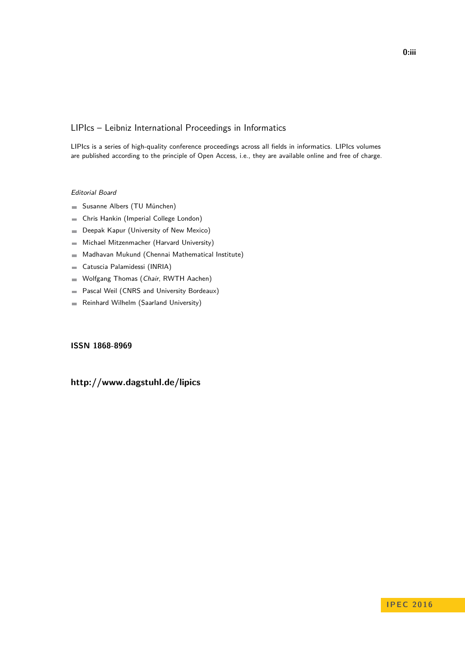### LIPIcs – Leibniz International Proceedings in Informatics

LIPIcs is a series of high-quality conference proceedings across all fields in informatics. LIPIcs volumes are published according to the principle of Open Access, i.e., they are available online and free of charge.

#### Editorial Board

- Susanne Albers (TU München)
- Chris Hankin (Imperial College London)  $\overline{\phantom{a}}$
- Deepak Kapur (University of New Mexico)  $\blacksquare$
- Michael Mitzenmacher (Harvard University)  $\equiv$
- Madhavan Mukund (Chennai Mathematical Institute)  $\sim$
- Catuscia Palamidessi (INRIA)  $\blacksquare$
- Wolfgang Thomas (Chair, RWTH Aachen)  $\blacksquare$
- Pascal Weil (CNRS and University Bordeaux)  $\blacksquare$
- Reinhard Wilhelm (Saarland University)  $\sim$

#### **[ISSN 1868-8969](http://www.dagstuhl.de/dagpub/1868-8969)**

### **<http://www.dagstuhl.de/lipics>**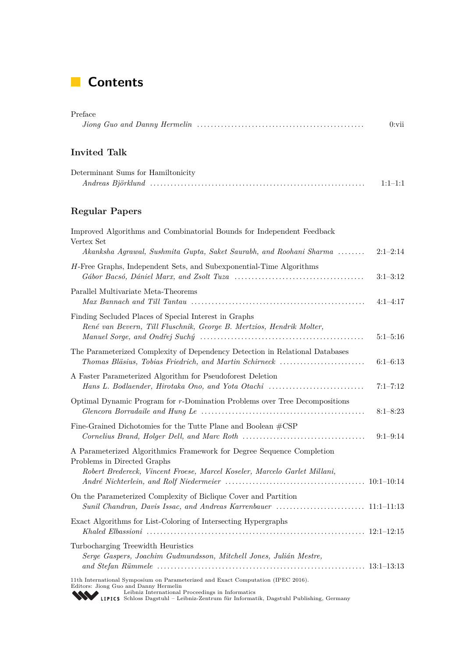## **Contents**

| Preface |                                                                                                                                  |
|---------|----------------------------------------------------------------------------------------------------------------------------------|
|         | $0:$ vii<br>$Jionq$ Guo and Danny Hermelin $\ldots \ldots \ldots \ldots \ldots \ldots \ldots \ldots \ldots \ldots \ldots \ldots$ |
|         |                                                                                                                                  |

### **Invited Talk**

| Determinant Sums for Hamiltonicity |           |
|------------------------------------|-----------|
|                                    | $1:1-1:1$ |

### **Regular Papers**

| Improved Algorithms and Combinatorial Bounds for Independent Feedback<br>Vertex Set<br>Akanksha Agrawal, Sushmita Gupta, Saket Saurabh, and Roohani Sharma                                                                                                                      | $2:1-2:14$   |
|---------------------------------------------------------------------------------------------------------------------------------------------------------------------------------------------------------------------------------------------------------------------------------|--------------|
| H-Free Graphs, Independent Sets, and Subexponential-Time Algorithms                                                                                                                                                                                                             | $3:1-3:12$   |
| Parallel Multivariate Meta-Theorems                                                                                                                                                                                                                                             | $4:1-4:17$   |
| Finding Secluded Places of Special Interest in Graphs<br>René van Bevern, Till Fluschnik, George B. Mertzios, Hendrik Molter,                                                                                                                                                   | $5:1 - 5:16$ |
| The Parameterized Complexity of Dependency Detection in Relational Databases<br>Thomas Bläsius, Tobias Friedrich, and Martin Schirneck                                                                                                                                          | $6:1-6:13$   |
| A Faster Parameterized Algorithm for Pseudoforest Deletion<br>Hans L. Bodlaender, Hirotaka Ono, and Yota Otachi                                                                                                                                                                 | $7:1 - 7:12$ |
| Optimal Dynamic Program for $r$ -Domination Problems over Tree Decompositions                                                                                                                                                                                                   | $8:1 - 8:23$ |
| Fine-Grained Dichotomies for the Tutte Plane and Boolean $\#\text{CSP}$                                                                                                                                                                                                         | $9:1 - 9:14$ |
| A Parameterized Algorithmics Framework for Degree Sequence Completion<br>Problems in Directed Graphs<br>Robert Bredereck, Vincent Froese, Marcel Koseler, Marcelo Garlet Millani,                                                                                               |              |
| On the Parameterized Complexity of Biclique Cover and Partition                                                                                                                                                                                                                 |              |
| Exact Algorithms for List-Coloring of Intersecting Hypergraphs                                                                                                                                                                                                                  |              |
| Turbocharging Treewidth Heuristics<br>Serge Gaspers, Joachim Gudmundsson, Mitchell Jones, Julián Mestre,                                                                                                                                                                        |              |
| 11th International Symposium on Parameterized and Exact Computation (IPEC 2016).<br>Editors: Jiong Guo and Danny Hermelin<br>Leibniz International Proceedings in Informatics<br><b>WEIPICS</b> Schloss Dagstuhl - Leibniz-Zentrum für Informatik, Dagstuhl Publishing, Germany |              |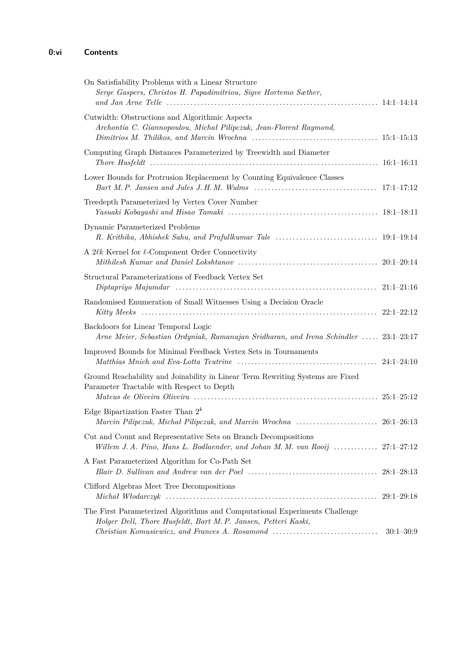| On Satisfiability Problems with a Linear Structure<br>Serge Gaspers, Christos H. Papadimitriou, Sigve Hortemo Sæther,                                                                                            |               |
|------------------------------------------------------------------------------------------------------------------------------------------------------------------------------------------------------------------|---------------|
| Cutwidth: Obstructions and Algorithmic Aspects<br>Archontia C. Giannopoulou, Michał Pilipczuk, Jean-Florent Raymond,                                                                                             |               |
| Computing Graph Distances Parameterized by Treewidth and Diameter                                                                                                                                                |               |
| Lower Bounds for Protrusion Replacement by Counting Equivalence Classes<br>Bart M. P. Jansen and Jules J. H. M. Wulms $\ldots \ldots \ldots \ldots \ldots \ldots \ldots \ldots \ldots \ldots \qquad 17:1-17:12$  |               |
| Treedepth Parameterized by Vertex Cover Number                                                                                                                                                                   |               |
| Dynamic Parameterized Problems                                                                                                                                                                                   |               |
| A $2\ell k$ Kernel for $\ell$ -Component Order Connectivity                                                                                                                                                      |               |
| Structural Parameterizations of Feedback Vertex Set                                                                                                                                                              |               |
| Randomised Enumeration of Small Witnesses Using a Decision Oracle                                                                                                                                                |               |
| Backdoors for Linear Temporal Logic<br>Arne Meier, Sebastian Ordyniak, Ramanujan Sridharan, and Irena Schindler  23:1–23:17                                                                                      |               |
| Improved Bounds for Minimal Feedback Vertex Sets in Tournaments<br>Matthias Mnich and Eva-Lotta Teutrine $\ldots \ldots \ldots \ldots \ldots \ldots \ldots \ldots \ldots \ldots \ldots \ldots \ldots$ 24:1-24:10 |               |
| Ground Reachability and Joinability in Linear Term Rewriting Systems are Fixed<br>Parameter Tractable with Respect to Depth                                                                                      |               |
| Edge Bipartization Faster Than $2^k$                                                                                                                                                                             |               |
| Cut and Count and Representative Sets on Branch Decompositions                                                                                                                                                   |               |
| Willem J. A. Pino, Hans L. Bodlaender, and Johan M. M. van Rooij  27:1–27:12<br>A Fast Parameterized Algorithm for Co-Path Set                                                                                   |               |
| Clifford Algebras Meet Tree Decompositions                                                                                                                                                                       |               |
| The First Parameterized Algorithms and Computational Experiments Challenge                                                                                                                                       |               |
| Holger Dell, Thore Husfeldt, Bart M. P. Jansen, Petteri Kaski,<br>Christian Komusiewicz, and Frances A. Rosamond                                                                                                 | $30:1 - 30:9$ |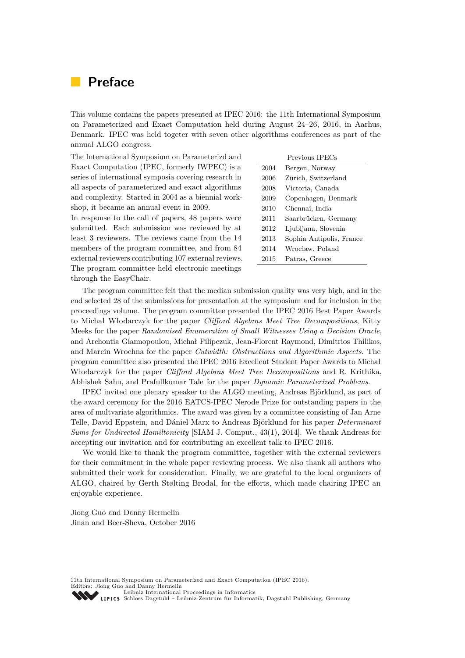### **Preface**

This volume contains the papers presented at IPEC 2016: the 11th International Symposium on Parameterized and Exact Computation held during August 24–26, 2016, in Aarhus, Denmark. IPEC was held togeter with seven other algorithms conferences as part of the annual ALGO congress.

The International Symposium on Parameterizd and Exact Computation (IPEC, formerly IWPEC) is a series of international symposia covering research in all aspects of parameterized and exact algorithms and complexity. Started in 2004 as a biennial workshop, it became an annual event in 2009.

In response to the call of papers, 48 papers were submitted. Each submission was reviewed by at least 3 reviewers. The reviews came from the 14 members of the program committee, and from 84 external reviewers contributing 107 external reviews. The program committee held electronic meetings through the EasyChair.

| Previous IPECs |                          |  |
|----------------|--------------------------|--|
| 2004           | Bergen, Norway           |  |
| 2006           | Zürich, Switzerland      |  |
| 2008           | Victoria, Canada         |  |
| 2009           | Copenhagen, Denmark      |  |
| 2010           | Chennai, India           |  |
| 2011           | Saarbrücken, Germany     |  |
| 2012           | Ljubljana, Slovenia      |  |
| 2013           | Sophia Antipolis, France |  |
| 2014           | Wrocław, Poland          |  |
| 2015           | Patras, Greece           |  |

The program committee felt that the median submission quality was very high, and in the end selected 28 of the submissions for presentation at the symposium and for inclusion in the proceedings volume. The program committee presented the IPEC 2016 Best Paper Awards to Michał Włodarczyk for the paper *Clifford Algebras Meet Tree Decompositions*, Kitty Meeks for the paper *Randomised Enumeration of Small Witnesses Using a Decision Oracle*, and Archontia Giannopoulou, Michał Pilipczuk, Jean-Florent Raymond, Dimitrios Thilikos, and Marcin Wrochna for the paper *Cutwidth: Obstructions and Algorithmic Aspects*. The program committee also presented the IPEC 2016 Excellent Student Paper Awards to Michał Włodarczyk for the paper *Clifford Algebras Meet Tree Decompositions* and R. Krithika, Abhishek Sahu, and Prafullkumar Tale for the paper *Dynamic Parameterized Problems*.

IPEC invited one plenary speaker to the ALGO meeting, Andreas Björklund, as part of the award ceremony for the 2016 EATCS-IPEC Nerode Prize for outstanding papers in the area of multvariate algorithmics. The award was given by a committee consisting of Jan Arne Telle, David Eppstein, and Dániel Marx to Andreas Björklund for his paper *Determinant Sums for Undirected Hamiltonicity* [SIAM J. Comput., 43(1), 2014]. We thank Andreas for accepting our invitation and for contributing an excellent talk to IPEC 2016.

We would like to thank the program committee, together with the external reviewers for their commitment in the whole paper reviewing process. We also thank all authors who submitted their work for consideration. Finally, we are grateful to the local organizers of ALGO, chaired by Gerth Stølting Brodal, for the efforts, which made chairing IPEC an enjoyable experience.

Jiong Guo and Danny Hermelin Jinan and Beer-Sheva, October 2016

11th International Symposium on Parameterized and Exact Computation (IPEC 2016). Editors: Jiong Guo and Danny Hermelin [Leibniz International Proceedings in Informatics](http://www.dagstuhl.de/en/publications/lipics/) [Schloss Dagstuhl – Leibniz-Zentrum für Informatik, Dagstuhl Publishing, Germany](http://www.dagstuhl.de/en/about-dagstuhl/)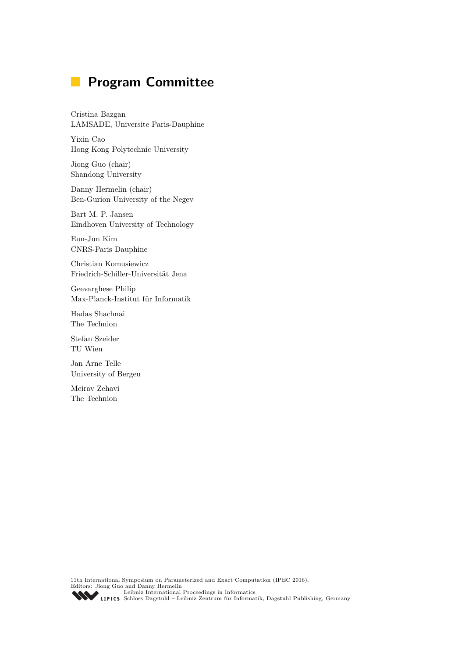# **Program Committee**

Cristina Bazgan LAMSADE, Universite Paris-Dauphine

Yixin Cao Hong Kong Polytechnic University

Jiong Guo (chair) Shandong University

Danny Hermelin (chair) Ben-Gurion University of the Negev

Bart M. P. Jansen Eindhoven University of Technology

Eun-Jun Kim CNRS-Paris Dauphine

Christian Komusiewicz Friedrich-Schiller-Universität Jena

Geevarghese Philip Max-Planck-Institut für Informatik

Hadas Shachnai The Technion

Stefan Szeider TU Wien

Jan Arne Telle University of Bergen

Meirav Zehavi The Technion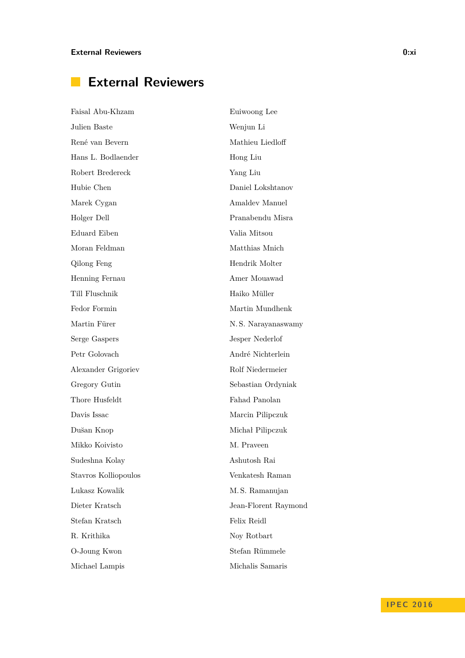# **External Reviewers**

| Faisal Abu-Khzam     | Euiwoong Lee         |
|----------------------|----------------------|
| Julien Baste         | Wenjun Li            |
| René van Bevern      | Mathieu Liedloff     |
| Hans L. Bodlaender   | Hong Liu             |
| Robert Bredereck     | Yang Liu             |
| Hubie Chen           | Daniel Lokshtanov    |
| Marek Cygan          | Amaldev Manuel       |
| Holger Dell          | Pranabendu Misra     |
| Eduard Eiben         | Valia Mitsou         |
| Moran Feldman        | Matthias Mnich       |
| Qilong Feng          | Hendrik Molter       |
| Henning Fernau       | Amer Mouawad         |
| Till Fluschnik       | Haiko Müller         |
| Fedor Formin         | Martin Mundhenk      |
| Martin Fürer         | N.S. Narayanaswamy   |
| Serge Gaspers        | Jesper Nederlof      |
| Petr Golovach        | André Nichterlein    |
| Alexander Grigoriev  | Rolf Niedermeier     |
| Gregory Gutin        | Sebastian Ordyniak   |
| Thore Husfeldt       | Fahad Panolan        |
| Davis Issac          | Marcin Pilipczuk     |
| Dušan Knop           | Michał Pilipczuk     |
| Mikko Koivisto       | M. Praveen           |
| Sudeshna Kolay       | Ashutosh Rai         |
| Stavros Kolliopoulos | Venkatesh Raman      |
| Lukasz Kowalik       | M.S. Ramanujan       |
| Dieter Kratsch       | Jean-Florent Raymond |
| Stefan Kratsch       | Felix Reidl          |
| R. Krithika          | Noy Rotbart          |
| O-Joung Kwon         | Stefan Rümmele       |
| Michael Lampis       | Michalis Samaris     |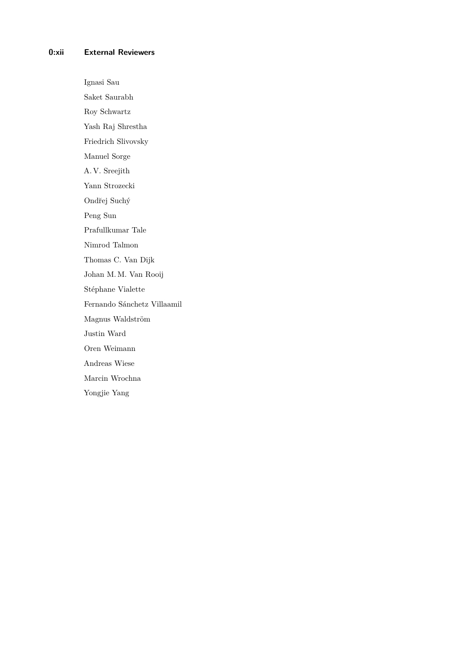#### **0:xii External Reviewers**

Ignasi Sau Saket Saurabh Roy Schwartz Yash Raj Shrestha Friedrich Slivovsky Manuel Sorge A. V. Sreejith Yann Strozecki Ondřej Suchý Peng Sun Prafullkumar Tale Nimrod Talmon Thomas C. Van Dijk Johan M. M. Van Rooij Stéphane Vialette Fernando Sánchetz Villaamil Magnus Waldström Justin Ward Oren Weimann Andreas Wiese Marcin Wrochna Yongjie Yang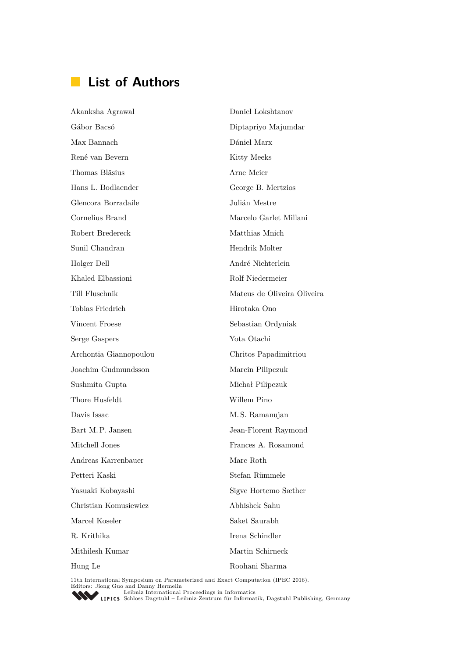### **List of Authors**

Akanksha Agrawal Gábor Bacsó Max Bannach René van Bevern Thomas Bläsius Hans L. Bodlaender Glencora Borradaile Cornelius Brand Robert Bredereck Sunil Chandran Holger Dell Khaled Elbassioni Till Fluschnik Tobias Friedrich Vincent Froese Serge Gaspers Archontia Giannopoulou Joachim Gudmundsson Sushmita Gupta Thore Husfeldt Davis Issac Bart M. P. Jansen Mitchell Jones Andreas Karrenbauer Petteri Kaski Yasuaki Kobayashi Christian Komusiewicz Marcel Koseler R. Krithika Mithilesh Kumar Hung Le Daniel Lokshtanov Diptapriyo Majumdar Dániel Marx Kitty Meeks Arne Meier George B. Mertzios Julián Mestre Marcelo Garlet Millani Matthias Mnich Hendrik Molter André Nichterlein Rolf Niedermeier Mateus de Oliveira Oliveira Hirotaka Ono Sebastian Ordyniak Yota Otachi Chritos Papadimitriou Marcin Pilipczuk Michał Pilipczuk Willem Pino M. S. Ramanujan Jean-Florent Raymond Frances A. Rosamond Marc Roth Stefan Rümmele Sigve Hortemo Sæther Abhishek Sahu Saket Saurabh Irena Schindler Martin Schirneck Roohani Sharma

11th International Symposium on Parameterized and Exact Computation (IPEC 2016).<br>
Editors: Jiong Guo and Danny Hermelin<br> [Leibniz International Proceedings in Informatics](http://www.dagstuhl.de/en/publications/lipics/)

Leibniz International Flocetulity in miormatics<br>LIPICS [Schloss Dagstuhl – Leibniz-Zentrum für Informatik, Dagstuhl Publishing, Germany](http://www.dagstuhl.de/en/about-dagstuhl/)